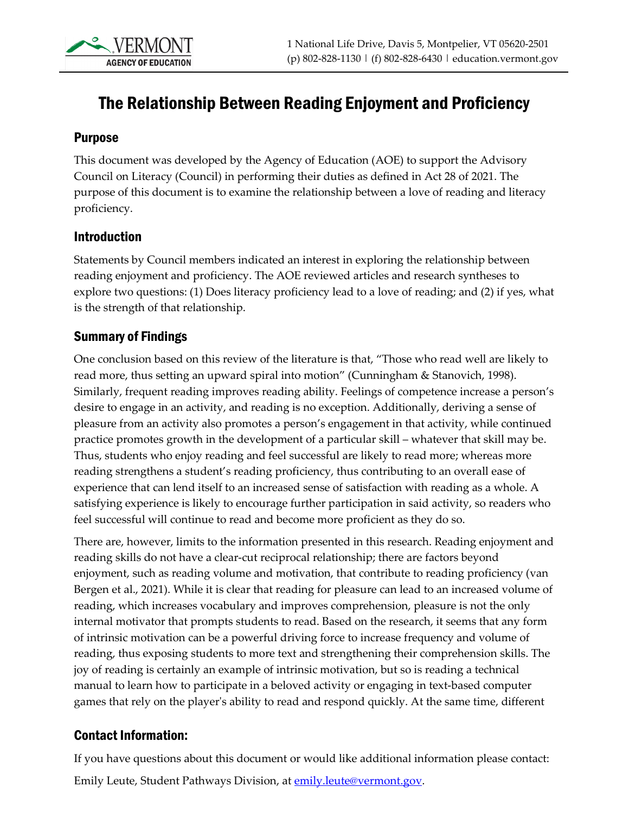# The Relationship Between Reading Enjoyment and Proficiency

#### Purpose

This document was developed by the Agency of Education (AOE) to support the Advisory Council on Literacy (Council) in performing their duties as defined in Act 28 of 2021. The purpose of this document is to examine the relationship between a love of reading and literacy proficiency.

#### Introduction

Statements by Council members indicated an interest in exploring the relationship between reading enjoyment and proficiency. The AOE reviewed articles and research syntheses to explore two questions: (1) Does literacy proficiency lead to a love of reading; and (2) if yes, what is the strength of that relationship.

#### Summary of Findings

One conclusion based on this review of the literature is that, "Those who read well are likely to read more, thus setting an upward spiral into motion" (Cunningham & Stanovich, 1998). Similarly, frequent reading improves reading ability. Feelings of competence increase a person's desire to engage in an activity, and reading is no exception. Additionally, deriving a sense of pleasure from an activity also promotes a person's engagement in that activity, while continued practice promotes growth in the development of a particular skill – whatever that skill may be. Thus, students who enjoy reading and feel successful are likely to read more; whereas more reading strengthens a student's reading proficiency, thus contributing to an overall ease of experience that can lend itself to an increased sense of satisfaction with reading as a whole. A satisfying experience is likely to encourage further participation in said activity, so readers who feel successful will continue to read and become more proficient as they do so.

There are, however, limits to the information presented in this research. Reading enjoyment and reading skills do not have a clear-cut reciprocal relationship; there are factors beyond enjoyment, such as reading volume and motivation, that contribute to reading proficiency (van Bergen et al., 2021). While it is clear that reading for pleasure can lead to an increased volume of reading, which increases vocabulary and improves comprehension, pleasure is not the only internal motivator that prompts students to read. Based on the research, it seems that any form of intrinsic motivation can be a powerful driving force to increase frequency and volume of reading, thus exposing students to more text and strengthening their comprehension skills. The joy of reading is certainly an example of intrinsic motivation, but so is reading a technical manual to learn how to participate in a beloved activity or engaging in text-based computer games that rely on the player's ability to read and respond quickly. At the same time, different

## Contact Information:

If you have questions about this document or would like additional information please contact: Emily Leute, Student Pathways Division, at [emily.leute@vermont.gov.](mailto:emily.leute@vermont.gov)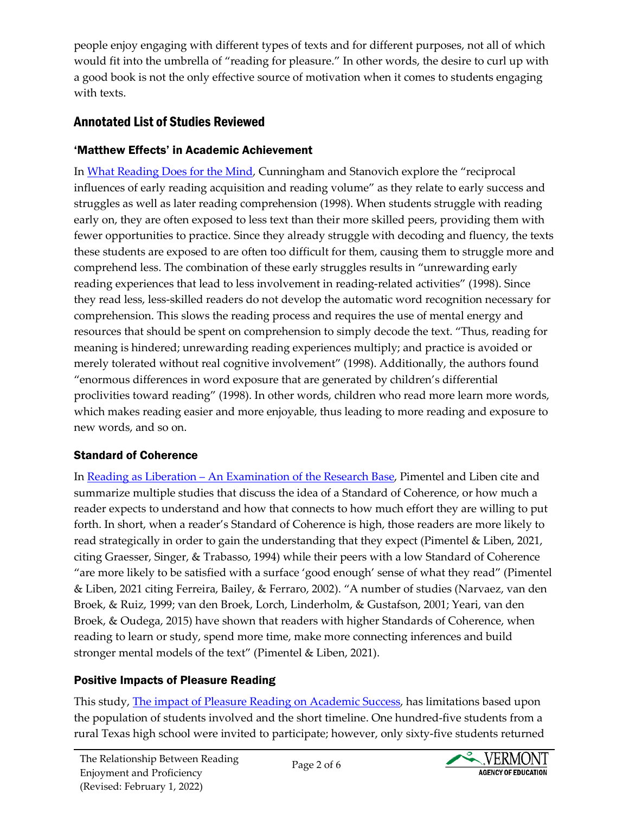people enjoy engaging with different types of texts and for different purposes, not all of which would fit into the umbrella of "reading for pleasure." In other words, the desire to curl up with a good book is not the only effective source of motivation when it comes to students engaging with texts.

# Annotated List of Studies Reviewed

#### 'Matthew Effects' in Academic Achievement

In [What Reading Does for the Mind,](https://www.researchgate.net/publication/237109087_What_reading_does_for_the_mind) Cunningham and Stanovich explore the "reciprocal influences of early reading acquisition and reading volume" as they relate to early success and struggles as well as later reading comprehension (1998). When students struggle with reading early on, they are often exposed to less text than their more skilled peers, providing them with fewer opportunities to practice. Since they already struggle with decoding and fluency, the texts these students are exposed to are often too difficult for them, causing them to struggle more and comprehend less. The combination of these early struggles results in "unrewarding early reading experiences that lead to less involvement in reading-related activities" (1998). Since they read less, less-skilled readers do not develop the automatic word recognition necessary for comprehension. This slows the reading process and requires the use of mental energy and resources that should be spent on comprehension to simply decode the text. "Thus, reading for meaning is hindered; unrewarding reading experiences multiply; and practice is avoided or merely tolerated without real cognitive involvement" (1998). Additionally, the authors found "enormous differences in word exposure that are generated by children's differential proclivities toward reading" (1998). In other words, children who read more learn more words, which makes reading easier and more enjoyable, thus leading to more reading and exposure to new words, and so on.

## Standard of Coherence

In [Reading as Liberation – An Examination of the Research Base,](https://achievethecore.org/page/3336/reading-as-liberation-an-examination-of-the-research-base) Pimentel and Liben cite and summarize multiple studies that discuss the idea of a Standard of Coherence, or how much a reader expects to understand and how that connects to how much effort they are willing to put forth. In short, when a reader's Standard of Coherence is high, those readers are more likely to read strategically in order to gain the understanding that they expect (Pimentel & Liben, 2021, citing Graesser, Singer, & Trabasso, 1994) while their peers with a low Standard of Coherence "are more likely to be satisfied with a surface 'good enough' sense of what they read" (Pimentel & Liben, 2021 citing Ferreira, Bailey, & Ferraro, 2002). "A number of studies (Narvaez, van den Broek, & Ruiz, 1999; van den Broek, Lorch, Linderholm, & Gustafson, 2001; Yeari, van den Broek, & Oudega, 2015) have shown that readers with higher Standards of Coherence, when reading to learn or study, spend more time, make more connecting inferences and build stronger mental models of the text" (Pimentel & Liben, 2021).

## Positive Impacts of Pleasure Reading

This study, [The impact of Pleasure Reading on Academic Success,](https://www.shsu.edu/academics/education/journal-of-multidisciplinary-graduate-research/documents/2016/WhittenJournalFinal.pdf) has limitations based upon the population of students involved and the short timeline. One hundred-five students from a rural Texas high school were invited to participate; however, only sixty-five students returned

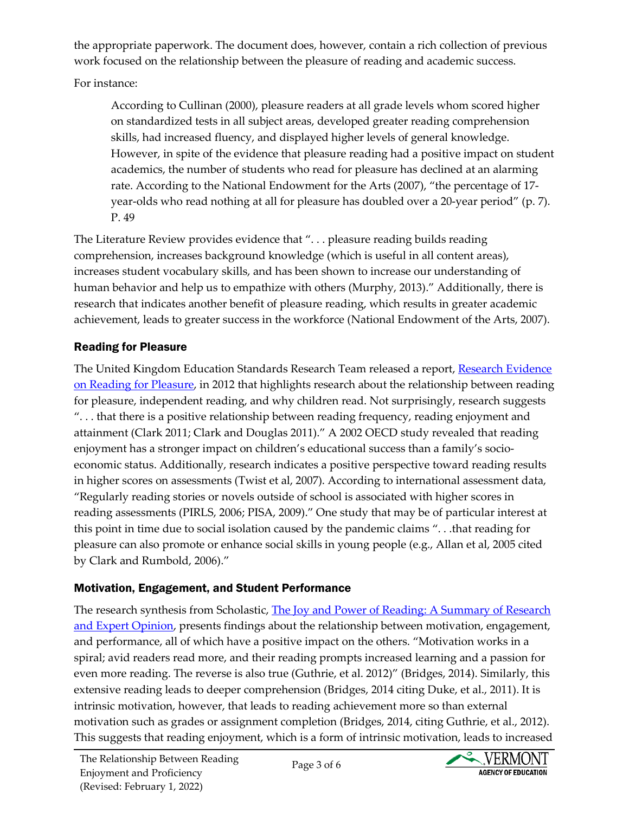the appropriate paperwork. The document does, however, contain a rich collection of previous work focused on the relationship between the pleasure of reading and academic success.

For instance:

According to Cullinan (2000), pleasure readers at all grade levels whom scored higher on standardized tests in all subject areas, developed greater reading comprehension skills, had increased fluency, and displayed higher levels of general knowledge. However, in spite of the evidence that pleasure reading had a positive impact on student academics, the number of students who read for pleasure has declined at an alarming rate. According to the National Endowment for the Arts (2007), "the percentage of 17 year-olds who read nothing at all for pleasure has doubled over a 20-year period" (p. 7). P. 49

The Literature Review provides evidence that ". . . pleasure reading builds reading comprehension, increases background knowledge (which is useful in all content areas), increases student vocabulary skills, and has been shown to increase our understanding of human behavior and help us to empathize with others (Murphy, 2013)." Additionally, there is research that indicates another benefit of pleasure reading, which results in greater academic achievement, leads to greater success in the workforce (National Endowment of the Arts, 2007).

# Reading for Pleasure

The United Kingdom Education Standards Research Team released a report, Research Evidence [on Reading for Pleasure,](https://assets.publishing.service.gov.uk/government/uploads/system/uploads/attachment_data/file/284286/reading_for_pleasure.pdf) in 2012 that highlights research about the relationship between reading for pleasure, independent reading, and why children read. Not surprisingly, research suggests ". . . that there is a positive relationship between reading frequency, reading enjoyment and attainment (Clark 2011; Clark and Douglas 2011)." A 2002 OECD study revealed that reading enjoyment has a stronger impact on children's educational success than a family's socioeconomic status. Additionally, research indicates a positive perspective toward reading results in higher scores on assessments (Twist et al, 2007). According to international assessment data, "Regularly reading stories or novels outside of school is associated with higher scores in reading assessments (PIRLS, 2006; PISA, 2009)." One study that may be of particular interest at this point in time due to social isolation caused by the pandemic claims ". . .that reading for pleasure can also promote or enhance social skills in young people (e.g., Allan et al, 2005 cited by Clark and Rumbold, 2006)."

## Motivation, Engagement, and Student Performance

The research synthesis from Scholastic, The Joy and Power of Reading: A Summary of Research [and Expert Opinion,](https://www.scholastic.com/worldofpossible/assets/readingresearch.pdf) presents findings about the relationship between motivation, engagement, and performance, all of which have a positive impact on the others. "Motivation works in a spiral; avid readers read more, and their reading prompts increased learning and a passion for even more reading. The reverse is also true (Guthrie, et al. 2012)" (Bridges, 2014). Similarly, this extensive reading leads to deeper comprehension (Bridges, 2014 citing Duke, et al., 2011). It is intrinsic motivation, however, that leads to reading achievement more so than external motivation such as grades or assignment completion (Bridges, 2014, citing Guthrie, et al., 2012). This suggests that reading enjoyment, which is a form of intrinsic motivation, leads to increased

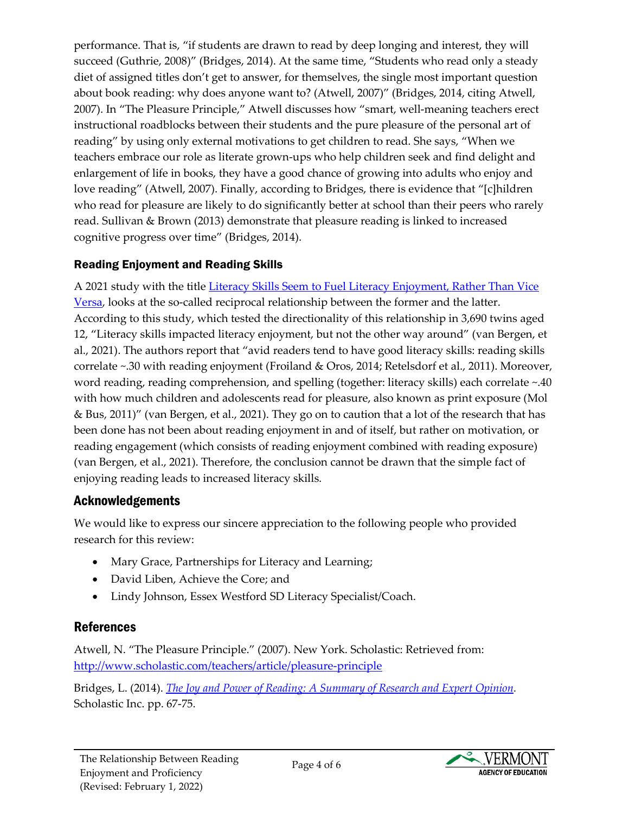performance. That is, "if students are drawn to read by deep longing and interest, they will succeed (Guthrie, 2008)" (Bridges, 2014). At the same time, "Students who read only a steady diet of assigned titles don't get to answer, for themselves, the single most important question about book reading: why does anyone want to? (Atwell, 2007)" (Bridges, 2014, citing Atwell, 2007). In "The Pleasure Principle," Atwell discusses how "smart, well-meaning teachers erect instructional roadblocks between their students and the pure pleasure of the personal art of reading" by using only external motivations to get children to read. She says, "When we teachers embrace our role as literate grown-ups who help children seek and find delight and enlargement of life in books, they have a good chance of growing into adults who enjoy and love reading" (Atwell, 2007). Finally, according to Bridges, there is evidence that "[c]hildren who read for pleasure are likely to do significantly better at school than their peers who rarely read. Sullivan & Brown (2013) demonstrate that pleasure reading is linked to increased cognitive progress over time" (Bridges, 2014).

#### Reading Enjoyment and Reading Skills

A 2021 study with the title [Literacy Skills Seem to Fuel Literacy Enjoyment, Rather Than Vice](https://psyarxiv.com/3kfgd/)  [Versa,](https://psyarxiv.com/3kfgd/) looks at the so-called reciprocal relationship between the former and the latter. According to this study, which tested the directionality of this relationship in 3,690 twins aged 12, "Literacy skills impacted literacy enjoyment, but not the other way around" (van Bergen, et al., 2021). The authors report that "avid readers tend to have good literacy skills: reading skills correlate ~.30 with reading enjoyment (Froiland & Oros, 2014; Retelsdorf et al., 2011). Moreover, word reading, reading comprehension, and spelling (together: literacy skills) each correlate ~.40 with how much children and adolescents read for pleasure, also known as print exposure (Mol & Bus, 2011)" (van Bergen, et al., 2021). They go on to caution that a lot of the research that has been done has not been about reading enjoyment in and of itself, but rather on motivation, or reading engagement (which consists of reading enjoyment combined with reading exposure) (van Bergen, et al., 2021). Therefore, the conclusion cannot be drawn that the simple fact of enjoying reading leads to increased literacy skills.

## Acknowledgements

We would like to express our sincere appreciation to the following people who provided research for this review:

- Mary Grace, Partnerships for Literacy and Learning;
- David Liben, Achieve the Core; and
- Lindy Johnson, Essex Westford SD Literacy Specialist/Coach.

## References

Atwell, N. "The Pleasure Principle." (2007). New York. Scholastic: Retrieved from: <http://www.scholastic.com/teachers/article/pleasure-principle>

Bridges, L. (2014). *[The Joy and Power of Reading: A Summary of Research and Expert Opinion.](https://www.scholastic.com/worldofpossible/assets/readingresearch.pdf)* Scholastic Inc. pp. 67-75.

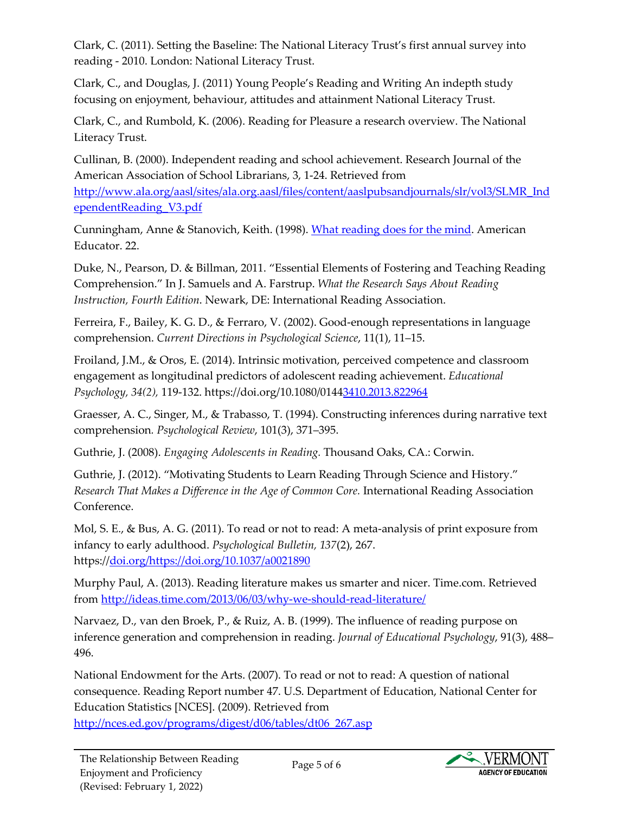Clark, C. (2011). Setting the Baseline: The National Literacy Trust's first annual survey into reading - 2010. London: National Literacy Trust.

Clark, C., and Douglas, J. (2011) Young People's Reading and Writing An indepth study focusing on enjoyment, behaviour, attitudes and attainment National Literacy Trust.

Clark, C., and Rumbold, K. (2006). Reading for Pleasure a research overview. The National Literacy Trust.

Cullinan, B. (2000). Independent reading and school achievement. Research Journal of the American Association of School Librarians, 3, 1-24. Retrieved from [http://www.ala.org/aasl/sites/ala.org.aasl/files/content/aaslpubsandjournals/slr/vol3/SLMR\\_Ind](http://www.ala.org/aasl/sites/ala.org.aasl/files/content/aaslpubsandjournals/slr/vol3/SLMR_Ind%20ependentReading_V3.pdf)  [ependentReading\\_V3.pdf](http://www.ala.org/aasl/sites/ala.org.aasl/files/content/aaslpubsandjournals/slr/vol3/SLMR_Ind%20ependentReading_V3.pdf) 

Cunningham, Anne & Stanovich, Keith. (1998). [What reading does for the mind.](https://www.researchgate.net/publication/237109087_What_reading_does_for_the_mind) American Educator. 22.

Duke, N., Pearson, D. & Billman, 2011. "Essential Elements of Fostering and Teaching Reading Comprehension." In J. Samuels and A. Farstrup. *What the Research Says About Reading Instruction, Fourth Edition*. Newark, DE: International Reading Association.

Ferreira, F., Bailey, K. G. D., & Ferraro, V. (2002). Good-enough representations in language comprehension. *Current Directions in Psychological Science*, 11(1), 11–15.

Froiland, J.M., & Oros, E. (2014). Intrinsic motivation, perceived competence and classroom engagement as longitudinal predictors of adolescent reading achievement. *Educational Psychology, 34(2),* 119-132.<https://doi.org/10.1080/01443410.2013.822964>

Graesser, A. C., Singer, M., & Trabasso, T. (1994). Constructing inferences during narrative text comprehension*. Psychological Review*, 101(3), 371–395.

Guthrie, J. (2008). *Engaging Adolescents in Reading.* Thousand Oaks, CA.: Corwin.

Guthrie, J. (2012). "Motivating Students to Learn Reading Through Science and History." *Research That Makes a Difference in the Age of Common Core.* International Reading Association Conference.

Mol, S. E., & Bus, A. G. (2011). To read or not to read: A meta-analysis of print exposure from infancy to early adulthood. *Psychological Bulletin, 137*(2), 267. [https://doi.org/https://doi.org/10.1037/a0021890](https://doi.org/https:/doi.org/10.1037/a0021890)

Murphy Paul, A. (2013). Reading literature makes us smarter and nicer. Time.com. Retrieved from<http://ideas.time.com/2013/06/03/why-we-should-read-literature/>

Narvaez, D., van den Broek, P., & Ruiz, A. B. (1999). The influence of reading purpose on inference generation and comprehension in reading. *Journal of Educational Psychology*, 91(3), 488– 496.

National Endowment for the Arts. (2007). To read or not to read: A question of national consequence. Reading Report number 47. U.S. Department of Education, National Center for Education Statistics [NCES]. (2009). Retrieved from

[http://nces.ed.gov/programs/digest/d06/tables/dt06\\_267.asp](http://nces.ed.gov/programs/digest/d06/tables/dt06_267.asp)